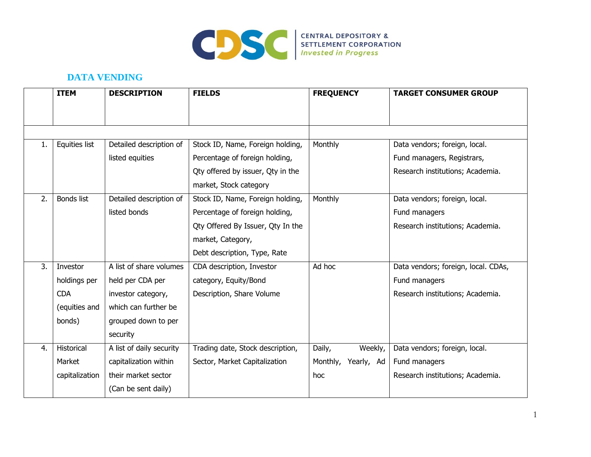

## **DATA VENDING**

|    | <b>ITEM</b>       | <b>DESCRIPTION</b>       | <b>FIELDS</b>                     | <b>FREQUENCY</b>    | <b>TARGET CONSUMER GROUP</b>        |
|----|-------------------|--------------------------|-----------------------------------|---------------------|-------------------------------------|
|    |                   |                          |                                   |                     |                                     |
|    |                   |                          |                                   |                     |                                     |
| 1. | Equities list     | Detailed description of  | Stock ID, Name, Foreign holding,  | Monthly             | Data vendors; foreign, local.       |
|    |                   | listed equities          | Percentage of foreign holding,    |                     | Fund managers, Registrars,          |
|    |                   |                          | Qty offered by issuer, Qty in the |                     | Research institutions; Academia.    |
|    |                   |                          | market, Stock category            |                     |                                     |
| 2. | <b>Bonds list</b> | Detailed description of  | Stock ID, Name, Foreign holding,  | Monthly             | Data vendors; foreign, local.       |
|    |                   | listed bonds             | Percentage of foreign holding,    |                     | Fund managers                       |
|    |                   |                          | Qty Offered By Issuer, Qty In the |                     | Research institutions; Academia.    |
|    |                   |                          | market, Category,                 |                     |                                     |
|    |                   |                          | Debt description, Type, Rate      |                     |                                     |
| 3. | Investor          | A list of share volumes  | CDA description, Investor         | Ad hoc              | Data vendors; foreign, local. CDAs, |
|    | holdings per      | held per CDA per         | category, Equity/Bond             |                     | Fund managers                       |
|    | <b>CDA</b>        | investor category,       | Description, Share Volume         |                     | Research institutions; Academia.    |
|    | (equities and     | which can further be     |                                   |                     |                                     |
|    | bonds)            | grouped down to per      |                                   |                     |                                     |
|    |                   | security                 |                                   |                     |                                     |
| 4. | Historical        | A list of daily security | Trading date, Stock description,  | Weekly,<br>Daily,   | Data vendors; foreign, local.       |
|    | Market            | capitalization within    | Sector, Market Capitalization     | Monthly, Yearly, Ad | Fund managers                       |
|    | capitalization    | their market sector      |                                   | hoc                 | Research institutions; Academia.    |
|    |                   | (Can be sent daily)      |                                   |                     |                                     |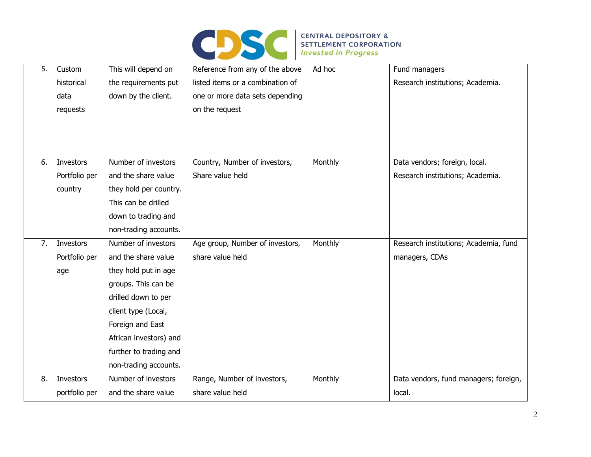

| 5. | Custom<br>historical | This will depend on<br>the requirements put | Reference from any of the above<br>listed items or a combination of | Ad hoc  | Fund managers<br>Research institutions; Academia. |
|----|----------------------|---------------------------------------------|---------------------------------------------------------------------|---------|---------------------------------------------------|
|    | data                 | down by the client.                         | one or more data sets depending                                     |         |                                                   |
|    | requests             |                                             | on the request                                                      |         |                                                   |
|    |                      |                                             |                                                                     |         |                                                   |
|    |                      |                                             |                                                                     |         |                                                   |
|    |                      |                                             |                                                                     |         |                                                   |
| 6. | Investors            | Number of investors                         | Country, Number of investors,                                       | Monthly | Data vendors; foreign, local.                     |
|    | Portfolio per        | and the share value                         | Share value held                                                    |         | Research institutions; Academia.                  |
|    | country              | they hold per country.                      |                                                                     |         |                                                   |
|    |                      | This can be drilled                         |                                                                     |         |                                                   |
|    |                      | down to trading and                         |                                                                     |         |                                                   |
|    |                      | non-trading accounts.                       |                                                                     |         |                                                   |
| 7. | Investors            | Number of investors                         | Age group, Number of investors,                                     | Monthly | Research institutions; Academia, fund             |
|    | Portfolio per        | and the share value                         | share value held                                                    |         | managers, CDAs                                    |
|    | age                  | they hold put in age                        |                                                                     |         |                                                   |
|    |                      | groups. This can be                         |                                                                     |         |                                                   |
|    |                      | drilled down to per                         |                                                                     |         |                                                   |
|    |                      | client type (Local,                         |                                                                     |         |                                                   |
|    |                      | Foreign and East                            |                                                                     |         |                                                   |
|    |                      | African investors) and                      |                                                                     |         |                                                   |
|    |                      | further to trading and                      |                                                                     |         |                                                   |
|    |                      | non-trading accounts.                       |                                                                     |         |                                                   |
| 8. | Investors            | Number of investors                         | Range, Number of investors,                                         | Monthly | Data vendors, fund managers; foreign,             |
|    | portfolio per        | and the share value                         | share value held                                                    |         | local.                                            |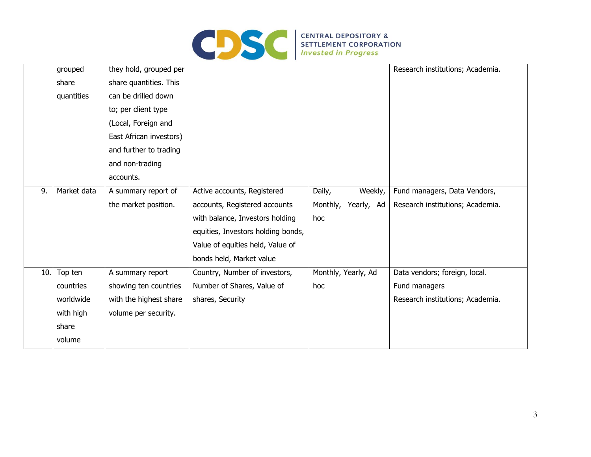

| grouped     | they hold, grouped per  |                                    |                     | Research institutions; Academia. |
|-------------|-------------------------|------------------------------------|---------------------|----------------------------------|
| share       | share quantities. This  |                                    |                     |                                  |
| quantities  | can be drilled down     |                                    |                     |                                  |
|             | to; per client type     |                                    |                     |                                  |
|             | (Local, Foreign and     |                                    |                     |                                  |
|             | East African investors) |                                    |                     |                                  |
|             | and further to trading  |                                    |                     |                                  |
|             | and non-trading         |                                    |                     |                                  |
|             | accounts.               |                                    |                     |                                  |
| Market data | A summary report of     | Active accounts, Registered        | Daily,<br>Weekly,   | Fund managers, Data Vendors,     |
|             | the market position.    | accounts, Registered accounts      | Monthly, Yearly, Ad | Research institutions; Academia. |
|             |                         | with balance, Investors holding    | hoc                 |                                  |
|             |                         | equities, Investors holding bonds, |                     |                                  |
|             |                         | Value of equities held, Value of   |                     |                                  |
|             |                         | bonds held, Market value           |                     |                                  |
| Top ten     | A summary report        | Country, Number of investors,      | Monthly, Yearly, Ad | Data vendors; foreign, local.    |
| countries   | showing ten countries   | Number of Shares, Value of         | hoc                 | Fund managers                    |
| worldwide   | with the highest share  | shares, Security                   |                     | Research institutions; Academia. |
| with high   | volume per security.    |                                    |                     |                                  |
| share       |                         |                                    |                     |                                  |
| volume      |                         |                                    |                     |                                  |
|             | 10.                     |                                    |                     |                                  |